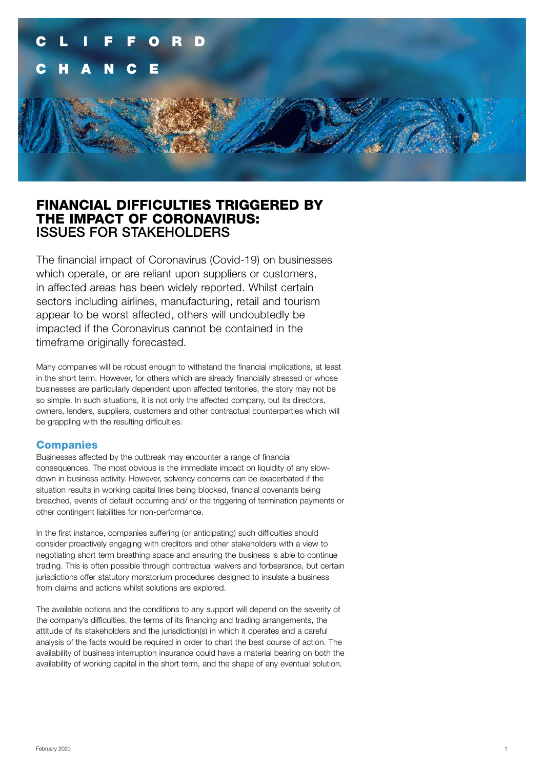

## FINANCIAL DIFFICULTIES TRIGGERED BY THE IMPACT OF CORONAVIRUS: ISSUES FOR STAKEHOLDERS

The financial impact of Coronavirus (Covid-19) on businesses which operate, or are reliant upon suppliers or customers, in affected areas has been widely reported. Whilst certain sectors including airlines, manufacturing, retail and tourism appear to be worst affected, others will undoubtedly be impacted if the Coronavirus cannot be contained in the timeframe originally forecasted.

Many companies will be robust enough to withstand the financial implications, at least in the short term. However, for others which are already financially stressed or whose businesses are particularly dependent upon affected territories, the story may not be so simple. In such situations, it is not only the affected company, but its directors, owners, lenders, suppliers, customers and other contractual counterparties which will be grappling with the resulting difficulties.

#### **Companies**

Businesses affected by the outbreak may encounter a range of financial consequences. The most obvious is the immediate impact on liquidity of any slowdown in business activity. However, solvency concerns can be exacerbated if the situation results in working capital lines being blocked, financial covenants being breached, events of default occurring and/ or the triggering of termination payments or other contingent liabilities for non-performance.

In the first instance, companies suffering (or anticipating) such difficulties should consider proactively engaging with creditors and other stakeholders with a view to negotiating short term breathing space and ensuring the business is able to continue trading. This is often possible through contractual waivers and forbearance, but certain jurisdictions offer statutory moratorium procedures designed to insulate a business from claims and actions whilst solutions are explored.

The available options and the conditions to any support will depend on the severity of the company's difficulties, the terms of its financing and trading arrangements, the attitude of its stakeholders and the jurisdiction(s) in which it operates and a careful analysis of the facts would be required in order to chart the best course of action. The availability of business interruption insurance could have a material bearing on both the availability of working capital in the short term, and the shape of any eventual solution.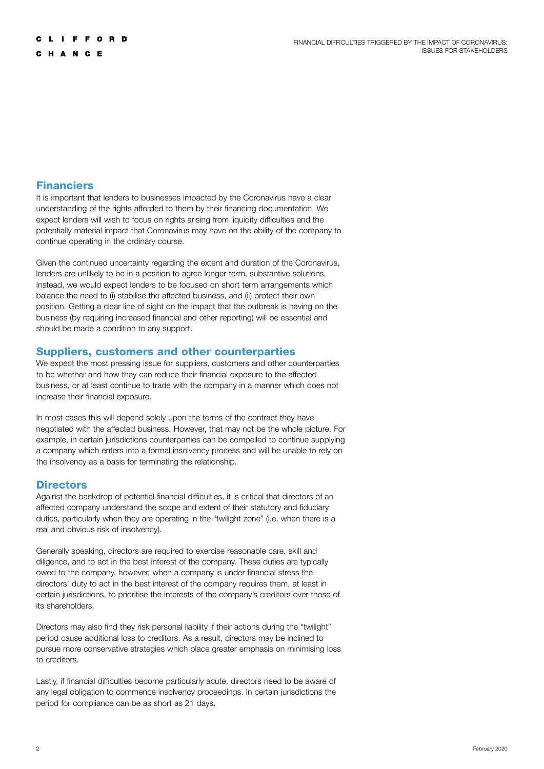## **Financiers**

It is important that lenders to businesses impacted by the Coronavirus have a clear understanding of the rights afforded to them by their financing documentation. We expect lenders will wish to focus on rights arising from liquidity difficulties and the potentially material impact that Coronavirus may have on the ability of the company to continue operating in the ordinary course.

Given the continued uncertainty regarding the extent and duration of the Coronavirus, lenders are unlikely to be in a position to agree longer term, substantive solutions. Instead, we would expect lenders to be focused on short term arrangements which balance the need to (i) stabilise the affected business, and (ii) protect their own position. Getting a clear line of sight on the impact that the outbreak is having on the business (by requiring increased financial and other reporting) will be essential and should be made a condition to any support.

## Suppliers, customers and other counterparties

We expect the most pressing issue for suppliers, customers and other counterparties to be whether and how they can reduce their financial exposure to the affected business, or at least continue to trade with the company in a manner which does not increase their financial exposure.

In most cases this will depend solely upon the terms of the contract they have negotiated with the affected business. However, that may not be the whole picture. For example, in certain jurisdictions counterparties can be compelled to continue supplying a company which enters into a formal insolvency process and will be unable to rely on the insolvency as a basis for terminating the relationship.

## **Directors**

Against the backdrop of potential financial difficulties, it is critical that directors of an affected company understand the scope and extent of their statutory and fiduciary duties, particularly when they are operating in the "twilight zone" (i.e. when there is a real and obvious risk of insolvency).

Generally speaking, directors are required to exercise reasonable care, skill and diligence, and to act in the best interest of the company. These duties are typically owed to the company, however, when a company is under financial stress the directors' duty to act in the best interest of the company requires them, at least in certain jurisdictions, to prioritise the interests of the company's creditors over those of its shareholders.

Directors may also find they risk personal liability if their actions during the "twilight" period cause additional loss to creditors. As a result, directors may be inclined to pursue more conservative strategies which place greater emphasis on minimising loss to creditors.

Lastly, if financial difficulties become particularly acute, directors need to be aware of any legal obligation to commence insolvency proceedings. In certain jurisdictions the period for compliance can be as short as 21 days.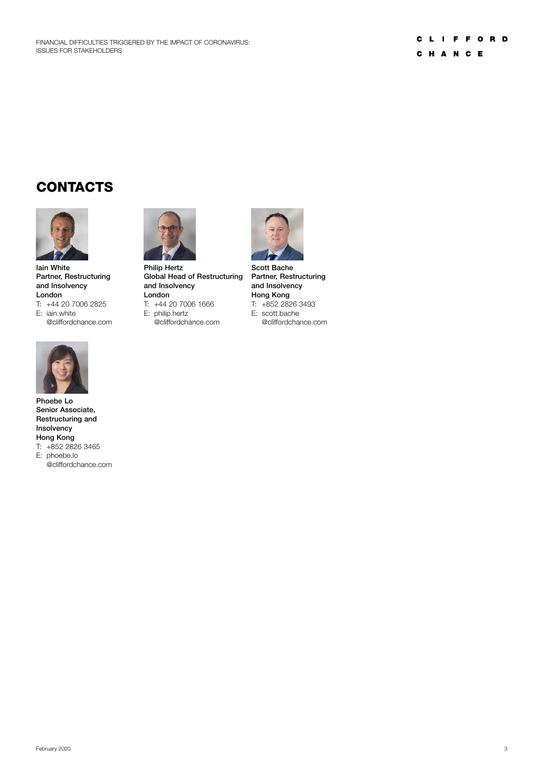# **CONTACTS**



Iain White Partner, Restructuring and Insolvency London T: +44 20 7006 2825 E: iain.white

@cliffordchance.com



Phoebe Lo Senior Associate, Restructuring and Insolvency Hong Kong T: +852 2826 3465 E: phoebe.lo

@cliffordchance.com



Philip Hertz Global Head of Restructuring and Insolvency London

T: +44 20 7006 1666

E: philip.hertz

@cliffordchance.com



Scott Bache Partner, Restructuring and Insolvency Hong Kong T: +852 2826 3493 E: scott.bache

@cliffordchance.com